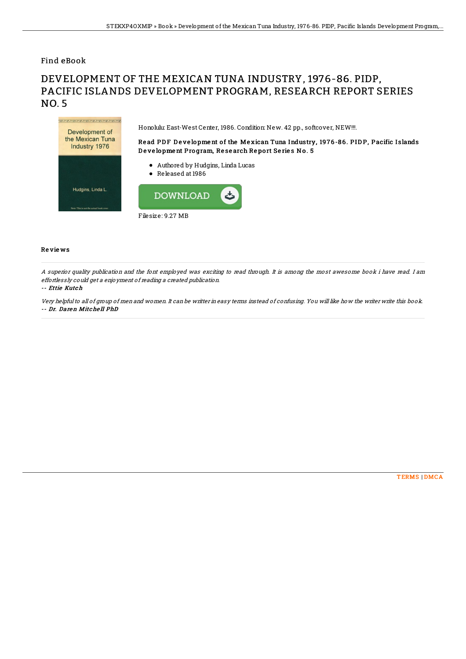## Find eBook

# DEVELOPMENT OF THE MEXICAN TUNA INDUSTRY, 1976-86. PIDP, PACIFIC ISLANDS DEVELOPMENT PROGRAM, RESEARCH REPORT SERIES NO. 5



### Re vie ws

A superior quality publication and the font employed was exciting to read through. It is among the most awesome book i have read. I am effortlessly could get <sup>a</sup> enjoyment of reading <sup>a</sup> created publication.

#### -- Ettie Kutch

Very helpfulto all of group of men and women. It can be writter in easy terms instead of confusing. You will like how the writer write this book. -- Dr. Daren Mitche ll PhD